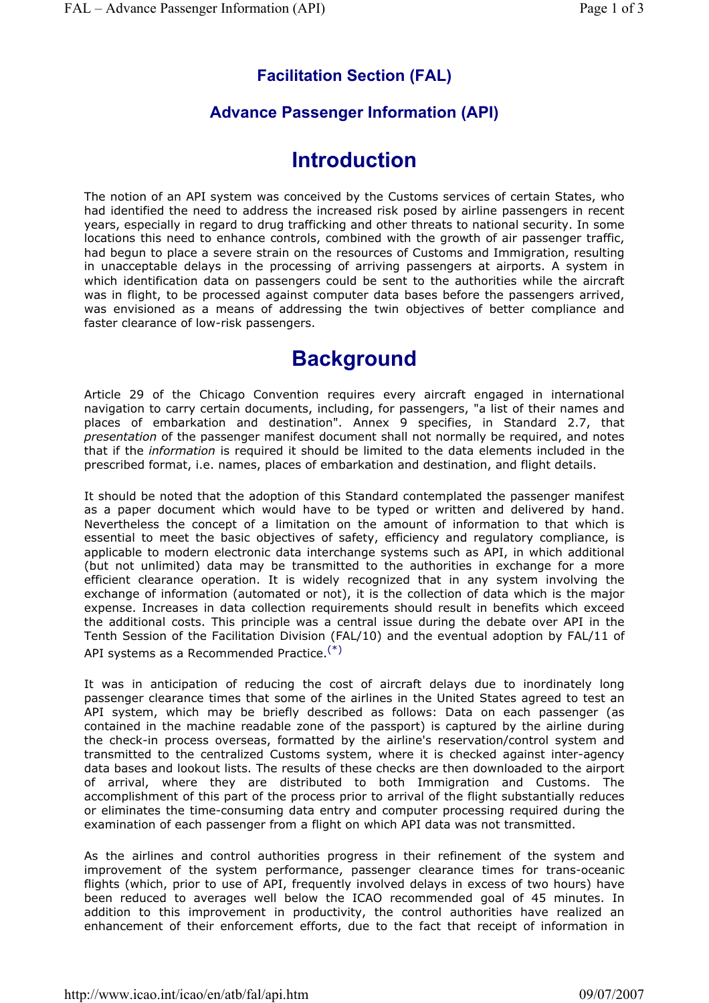## **Facilitation Section (FAL)**

## **Advance Passenger Information (API)**

## **Introduction**

The notion of an API system was conceived by the Customs services of certain States, who had identified the need to address the increased risk posed by airline passengers in recent years, especially in regard to drug trafficking and other threats to national security. In some locations this need to enhance controls, combined with the growth of air passenger traffic, had begun to place a severe strain on the resources of Customs and Immigration, resulting in unacceptable delays in the processing of arriving passengers at airports. A system in which identification data on passengers could be sent to the authorities while the aircraft was in flight, to be processed against computer data bases before the passengers arrived, was envisioned as a means of addressing the twin objectives of better compliance and faster clearance of low-risk passengers.

## **Background**

Article 29 of the Chicago Convention requires every aircraft engaged in international navigation to carry certain documents, including, for passengers, "a list of their names and places of embarkation and destination". Annex 9 specifies, in Standard 2.7, that *presentation* of the passenger manifest document shall not normally be required, and notes that if the *information* is required it should be limited to the data elements included in the prescribed format, i.e. names, places of embarkation and destination, and flight details.

It should be noted that the adoption of this Standard contemplated the passenger manifest as a paper document which would have to be typed or written and delivered by hand. Nevertheless the concept of a limitation on the amount of information to that which is essential to meet the basic objectives of safety, efficiency and regulatory compliance, is applicable to modern electronic data interchange systems such as API, in which additional (but not unlimited) data may be transmitted to the authorities in exchange for a more efficient clearance operation. It is widely recognized that in any system involving the exchange of information (automated or not), it is the collection of data which is the major expense. Increases in data collection requirements should result in benefits which exceed the additional costs. This principle was a central issue during the debate over API in the Tenth Session of the Facilitation Division (FAL/10) and the eventual adoption by FAL/11 of API systems as a Recommended Practice.(\*)

It was in anticipation of reducing the cost of aircraft delays due to inordinately long passenger clearance times that some of the airlines in the United States agreed to test an API system, which may be briefly described as follows: Data on each passenger (as contained in the machine readable zone of the passport) is captured by the airline during the check-in process overseas, formatted by the airline's reservation/control system and transmitted to the centralized Customs system, where it is checked against inter-agency data bases and lookout lists. The results of these checks are then downloaded to the airport of arrival, where they are distributed to both Immigration and Customs. The accomplishment of this part of the process prior to arrival of the flight substantially reduces or eliminates the time-consuming data entry and computer processing required during the examination of each passenger from a flight on which API data was not transmitted.

As the airlines and control authorities progress in their refinement of the system and improvement of the system performance, passenger clearance times for trans-oceanic flights (which, prior to use of API, frequently involved delays in excess of two hours) have been reduced to averages well below the ICAO recommended goal of 45 minutes. In addition to this improvement in productivity, the control authorities have realized an enhancement of their enforcement efforts, due to the fact that receipt of information in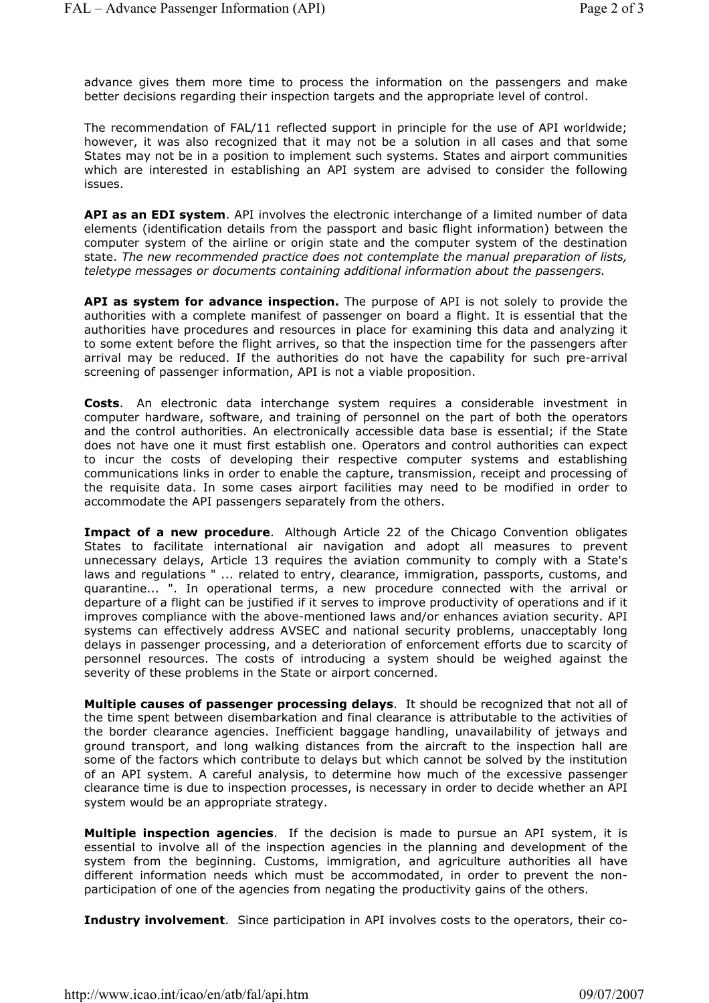advance gives them more time to process the information on the passengers and make better decisions regarding their inspection targets and the appropriate level of control.

The recommendation of FAL/11 reflected support in principle for the use of API worldwide; however, it was also recognized that it may not be a solution in all cases and that some States may not be in a position to implement such systems. States and airport communities which are interested in establishing an API system are advised to consider the following issues.

**API as an EDI system**. API involves the electronic interchange of a limited number of data elements (identification details from the passport and basic flight information) between the computer system of the airline or origin state and the computer system of the destination state. *The new recommended practice does not contemplate the manual preparation of lists, teletype messages or documents containing additional information about the passengers.*

**API as system for advance inspection.** The purpose of API is not solely to provide the authorities with a complete manifest of passenger on board a flight. It is essential that the authorities have procedures and resources in place for examining this data and analyzing it to some extent before the flight arrives, so that the inspection time for the passengers after arrival may be reduced. If the authorities do not have the capability for such pre-arrival screening of passenger information, API is not a viable proposition.

**Costs**. An electronic data interchange system requires a considerable investment in computer hardware, software, and training of personnel on the part of both the operators and the control authorities. An electronically accessible data base is essential; if the State does not have one it must first establish one. Operators and control authorities can expect to incur the costs of developing their respective computer systems and establishing communications links in order to enable the capture, transmission, receipt and processing of the requisite data. In some cases airport facilities may need to be modified in order to accommodate the API passengers separately from the others.

**Impact of a new procedure**. Although Article 22 of the Chicago Convention obligates States to facilitate international air navigation and adopt all measures to prevent unnecessary delays, Article 13 requires the aviation community to comply with a State's laws and regulations " ... related to entry, clearance, immigration, passports, customs, and quarantine... ". In operational terms, a new procedure connected with the arrival or departure of a flight can be justified if it serves to improve productivity of operations and if it improves compliance with the above-mentioned laws and/or enhances aviation security. API systems can effectively address AVSEC and national security problems, unacceptably long delays in passenger processing, and a deterioration of enforcement efforts due to scarcity of personnel resources. The costs of introducing a system should be weighed against the severity of these problems in the State or airport concerned.

**Multiple causes of passenger processing delays**. It should be recognized that not all of the time spent between disembarkation and final clearance is attributable to the activities of the border clearance agencies. Inefficient baggage handling, unavailability of jetways and ground transport, and long walking distances from the aircraft to the inspection hall are some of the factors which contribute to delays but which cannot be solved by the institution of an API system. A careful analysis, to determine how much of the excessive passenger clearance time is due to inspection processes, is necessary in order to decide whether an API system would be an appropriate strategy.

**Multiple inspection agencies**. If the decision is made to pursue an API system, it is essential to involve all of the inspection agencies in the planning and development of the system from the beginning. Customs, immigration, and agriculture authorities all have different information needs which must be accommodated, in order to prevent the nonparticipation of one of the agencies from negating the productivity gains of the others.

**Industry involvement**. Since participation in API involves costs to the operators, their co-